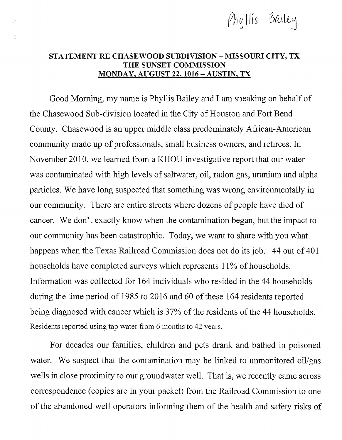

## STATEMENT RE CHASEWOOD SUBDIVISION - MISSOURI CITY, TX THE SUNSET COMMISSION MONDAY, AUGUST 22, 1016 -AUSTIN, TX

Ĝ

Good Morning, my name is Phyllis Bailey and I am speaking on behalf of the Chasewood Sub-division located in the City of Houston and Fort Bend County. Chasewood is an upper middle class predominately African-American community made up of professionals, small business owners, and retirees. In November 2010, we learned from a KHOU investigative report that our water was contaminated with high levels of saltwater, oil, radon gas, uranium and alpha particles. We have long suspected that something was wrong environmentally in our community. There are entire streets where dozens of people have died of cancer. We don't exactly know when the contamination began, but the impact to our community has been catastrophic. Today, we want to share with you what happens when the Texas Railroad Commission does not do its job. 44 out of 401 households have completed surveys which represents 11% of households. Information was collected for 164 individuals who resided in the 44 households during the time period of 1985 to 2016 and 60 of these 164 residents reported being diagnosed with cancer which is 37% of the residents of the 44 households. Residents reported using tap water from 6 months to 42 years.

For decades our families, children and pets drank and bathed in poisoned water. We suspect that the contamination may be linked to unmonitored oil/gas wells in close proximity to our groundwater well. That is, we recently came across correspondence (copies are in your packet) from the Railroad Commission to one of the abandoned well operators infarming them of the health and safety risks of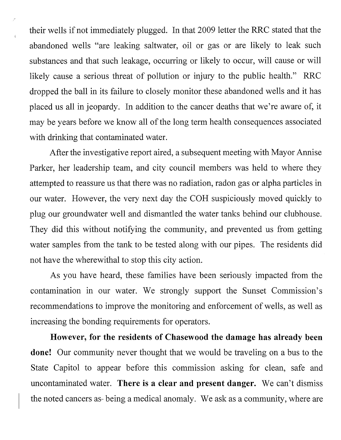their wells if not immediately plugged. In that 2009 letter the RRC stated that the abandoned wells "are leaking saltwater, oil or gas or are likely to leak such substances and that such leakage, occurring or likely to occur, will cause or will likely cause a serious threat of pollution or injury to the public health." RRC dropped the ball in its failure to closely monitor these abandoned wells and it has placed us all in jeopardy. In addition to the cancer deaths that we're aware of, it may be years before we know all of the long term health consequences associated with drinking that contaminated water.

.)

 $\frac{1}{2}$ 

After the investigative report aired, a subsequent meeting with Mayor Annise Parker, her leadership team, and city council members was held to where they attempted to reassure us that there was no radiation, radon gas or alpha particles in our water. However, the very next day the COH suspiciously moved quickly to plug our groundwater well and dismantled the water tanks behind our clubhouse. They did this without notifying the community, and prevented us from getting water samples from the tank to be tested along with our pipes. The residents did not have the wherewithal to stop this city action.

As you have heard, these families have been seriously impacted from the contamination in our water. We strongly support the Sunset Commission's recommendations to improve the monitoring and enforcement of wells, as well as increasing the bonding requirements for operators.

**However, for the residents of Chasewood the damage has already been done!** Our community never thought that we would be traveling on a bus to the State Capitol to appear before this commission asking for clean, safe and uncontaminated water. **There is a clear and present danger.** We can't dismiss the noted cancers as- being a medical anomaly. We ask as a community, where are